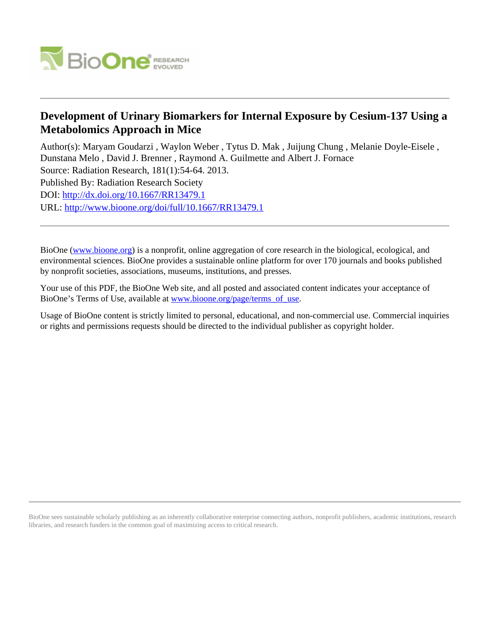

# **Development of Urinary Biomarkers for Internal Exposure by Cesium-137 Using a Metabolomics Approach in Mice**

Author(s): Maryam Goudarzi , Waylon Weber , Tytus D. Mak , Juijung Chung , Melanie Doyle-Eisele , Dunstana Melo , David J. Brenner , Raymond A. Guilmette and Albert J. Fornace

Source: Radiation Research, 181(1):54-64. 2013.

Published By: Radiation Research Society

DOI:<http://dx.doi.org/10.1667/RR13479.1>

URL: <http://www.bioone.org/doi/full/10.1667/RR13479.1>

BioOne [\(www.bioone.org\)](http://www.bioone.org) is a nonprofit, online aggregation of core research in the biological, ecological, and environmental sciences. BioOne provides a sustainable online platform for over 170 journals and books published by nonprofit societies, associations, museums, institutions, and presses.

Your use of this PDF, the BioOne Web site, and all posted and associated content indicates your acceptance of BioOne's Terms of Use, available at [www.bioone.org/page/terms\\_of\\_use.](http://www.bioone.org/page/terms_of_use)

Usage of BioOne content is strictly limited to personal, educational, and non-commercial use. Commercial inquiries or rights and permissions requests should be directed to the individual publisher as copyright holder.

BioOne sees sustainable scholarly publishing as an inherently collaborative enterprise connecting authors, nonprofit publishers, academic institutions, research libraries, and research funders in the common goal of maximizing access to critical research.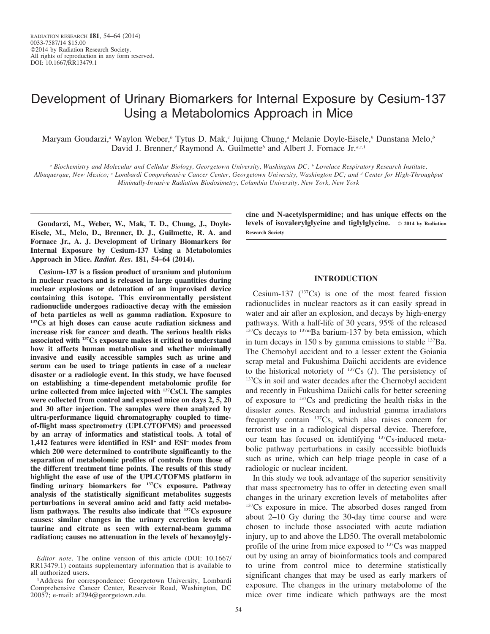# Development of Urinary Biomarkers for Internal Exposure by Cesium-137 Using a Metabolomics Approach in Mice

Maryam Goudarzi,<sup>a</sup> Waylon Weber,<sup>b</sup> Tytus D. Mak,<sup>c</sup> Juijung Chung,<sup>a</sup> Melanie Doyle-Eisele,<sup>b</sup> Dunstana Melo,<sup>b</sup> David J. Brenner,<sup>d</sup> Raymond A. Guilmette<sup>b</sup> and Albert J. Fornace Jr.<sup>a,c,1</sup>

<sup>a</sup> Biochemistry and Molecular and Cellular Biology, Georgetown University, Washington DC; <sup>b</sup> Lovelace Respiratory Research Institute, Albuquerque, New Mexico; <sup>c</sup> Lombardi Comprehensive Cancer Center, Georgetown University, Washington DC; and <sup>d</sup> Center for High-Throughput Minimally-Invasive Radiation Biodosimetry, Columbia University, New York, New York

Goudarzi, M., Weber, W., Mak, T. D., Chung, J., Doyle-Eisele, M., Melo, D., Brenner, D. J., Guilmette, R. A. and Fornace Jr., A. J. Development of Urinary Biomarkers for Internal Exposure by Cesium-137 Using a Metabolomics Approach in Mice. Radiat. Res. 181, 54–64 (2014).

Cesium-137 is a fission product of uranium and plutonium in nuclear reactors and is released in large quantities during nuclear explosions or detonation of an improvised device containing this isotope. This environmentally persistent radionuclide undergoes radioactive decay with the emission of beta particles as well as gamma radiation. Exposure to <sup>137</sup>Cs at high doses can cause acute radiation sickness and increase risk for cancer and death. The serious health risks associated with 137Cs exposure makes it critical to understand how it affects human metabolism and whether minimally invasive and easily accessible samples such as urine and serum can be used to triage patients in case of a nuclear disaster or a radiologic event. In this study, we have focused on establishing a time-dependent metabolomic profile for urine collected from mice injected with 137CsCl. The samples were collected from control and exposed mice on days 2, 5, 20 and 30 after injection. The samples were then analyzed by ultra-performance liquid chromatography coupled to timeof-flight mass spectrometry (UPLC/TOFMS) and processed by an array of informatics and statistical tools. A total of 1,412 features were identified in ESI<sup>+</sup> and ESI<sup>-</sup> modes from which 200 were determined to contribute significantly to the separation of metabolomic profiles of controls from those of the different treatment time points. The results of this study highlight the ease of use of the UPLC/TOFMS platform in finding urinary biomarkers for 137Cs exposure. Pathway analysis of the statistically significant metabolites suggests perturbations in several amino acid and fatty acid metabolism pathways. The results also indicate that <sup>137</sup>Cs exposure causes: similar changes in the urinary excretion levels of taurine and citrate as seen with external-beam gamma radiation; causes no attenuation in the levels of hexanoylglycine and N-acetylspermidine; and has unique effects on the levels of isovalerylglycine and tiglylglycine.  $\circ$  2014 by Radiation Research Society

## INTRODUCTION

Cesium-137  $(^{137}Cs)$  is one of the most feared fission radionuclides in nuclear reactors as it can easily spread in water and air after an explosion, and decays by high-energy pathways. With a half-life of 30 years, 95% of the released  $137Cs$  decays to  $137mBa$  barium-137 by beta emission, which in turn decays in  $150$  s by gamma emissions to stable  $137Ba$ . The Chernobyl accident and to a lesser extent the Goiania scrap metal and Fukushima Daiichi accidents are evidence to the historical notoriety of  $137Cs$  (1). The persistency of <sup>137</sup>Cs in soil and water decades after the Chernobyl accident and recently in Fukushima Daiichi calls for better screening of exposure to  $137Cs$  and predicting the health risks in the disaster zones. Research and industrial gamma irradiators frequently contain 137Cs, which also raises concern for terrorist use in a radiological dispersal device. Therefore, our team has focused on identifying 137Cs-induced metabolic pathway perturbations in easily accessible biofluids such as urine, which can help triage people in case of a radiologic or nuclear incident.

In this study we took advantage of the superior sensitivity that mass spectrometry has to offer in detecting even small changes in the urinary excretion levels of metabolites after <sup>137</sup>Cs exposure in mice. The absorbed doses ranged from about 2–10 Gy during the 30-day time course and were chosen to include those associated with acute radiation injury, up to and above the LD50. The overall metabolomic profile of the urine from mice exposed to 137Cs was mapped out by using an array of bioinformatics tools and compared to urine from control mice to determine statistically significant changes that may be used as early markers of exposure. The changes in the urinary metabolome of the mice over time indicate which pathways are the most

Editor note. The online version of this article (DOI: 10.1667/ RR13479.1) contains supplementary information that is available to all authorized users.

<sup>&</sup>lt;sup>1</sup>Address for correspondence: Georgetown University, Lombardi Comprehensive Cancer Center, Reservoir Road, Washington, DC 20057; e-mail: af294@georgetown.edu.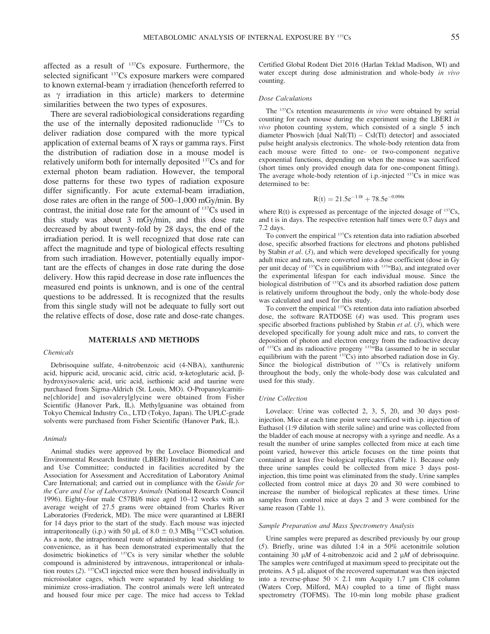affected as a result of 137Cs exposure. Furthermore, the selected significant 137Cs exposure markers were compared to known external-beam  $\gamma$  irradiation (henceforth referred to as  $\gamma$  irradiation in this article) markers to determine similarities between the two types of exposures.

There are several radiobiological considerations regarding the use of the internally deposited radionuclide  $137Cs$  to deliver radiation dose compared with the more typical application of external beams of X rays or gamma rays. First the distribution of radiation dose in a mouse model is relatively uniform both for internally deposited 137Cs and for external photon beam radiation. However, the temporal dose patterns for these two types of radiation exposure differ significantly. For acute external-beam irradiation, dose rates are often in the range of 500–1,000 mGy/min. By contrast, the initial dose rate for the amount of 137Cs used in this study was about 3 mGy/min, and this dose rate decreased by about twenty-fold by 28 days, the end of the irradiation period. It is well recognized that dose rate can affect the magnitude and type of biological effects resulting from such irradiation. However, potentially equally important are the effects of changes in dose rate during the dose delivery. How this rapid decrease in dose rate influences the measured end points is unknown, and is one of the central questions to be addressed. It is recognized that the results from this single study will not be adequate to fully sort out the relative effects of dose, dose rate and dose-rate changes.

## MATERIALS AND METHODS

#### Chemicals

Debrisoquine sulfate, 4-nitrobenzoic acid (4-NBA), xanthurenic acid, hippuric acid, urocanic acid, citric acid, a-ketoglutaric acid, bhydroxyisovaleric acid, uric acid, isethionic acid and taurine were purchased from Sigma-Aldrich (St. Louis, MO). O-Propanoylcarnitine[chloride] and isovalerylglycine were obtained from Fisher Scientific (Hanover Park, IL). Methylguanine was obtained from Tokyo Chemical Industry Co., LTD (Tokyo, Japan). The UPLC-grade solvents were purchased from Fisher Scientific (Hanover Park, IL).

#### Animals

Animal studies were approved by the Lovelace Biomedical and Environmental Research Institute (LBERI) Institutional Animal Care and Use Committee; conducted in facilities accredited by the Association for Assessment and Accreditation of Laboratory Animal Care International; and carried out in compliance with the Guide for the Care and Use of Laboratory Animals (National Research Council 1996). Eighty-four male C57Bl/6 mice aged 10–12 weeks with an average weight of 27.5 grams were obtained from Charles River Laboratories (Frederick, MD). The mice were quarantined at LBERI for 14 days prior to the start of the study. Each mouse was injected intraperitoneally (i.p.) with 50  $\mu$ L of 8.0  $\pm$  0.3 MBq <sup>137</sup>CsCl solution. As a note, the intraperitoneal route of administration was selected for convenience, as it has been demonstrated experimentally that the dosimetric biokinetics of 137Cs is very similar whether the soluble compound is administered by intravenous, intraperitoneal or inhalation routes (2). 137CsCl injected mice were then housed individually in microisolator cages, which were separated by lead shielding to minimize cross-irradiation. The control animals were left untreated and housed four mice per cage. The mice had access to Teklad Certified Global Rodent Diet 2016 (Harlan Teklad Madison, WI) and water except during dose administration and whole-body in vivo counting.

#### Dose Calculations

The <sup>137</sup>Cs retention measurements in vivo were obtained by serial counting for each mouse during the experiment using the LBERI in vivo photon counting system, which consisted of a single 5 inch diameter Phoswich [dual NaI(Tl) –  $CsI(Tl)$  detector] and associated pulse height analysis electronics. The whole-body retention data from each mouse were fitted to one- or two-component negative exponential functions, depending on when the mouse was sacrificed (short times only provided enough data for one-component fitting). The average whole-body retention of i.p.-injected <sup>137</sup>Cs in mice was determined to be:

$$
R(t) = 21.5e^{-1.0t} + 78.5e^{-0.096t}
$$

where  $R(t)$  is expressed as percentage of the injected dosage of  $137Cs$ , and t is in days. The respective retention half times were 0.7 days and 7.2 days.

To convert the empirical 137Cs retention data into radiation absorbed dose, specific absorbed fractions for electrons and photons published by Stabin et al.  $(3)$ , and which were developed specifically for young adult mice and rats, were converted into a dose coefficient (dose in Gy per unit decay of  $137Cs$  in equilibrium with  $137mBa$ ), and integrated over the experimental lifespan for each individual mouse. Since the biological distribution of <sup>137</sup>Cs and its absorbed radiation dose pattern is relatively uniform throughout the body, only the whole-body dose was calculated and used for this study.

To convert the empirical 137Cs retention data into radiation absorbed dose, the software RATDOSE (4) was used. This program uses specific absorbed fractions published by Stabin  $et$  al. (3), which were developed specifically for young adult mice and rats, to convert the deposition of photon and electron energy from the radioactive decay of  $137\text{Cs}$  and its radioactive progeny  $137\text{mBa}$  (assumed to be in secular equilibrium with the parent  $137Cs$ ) into absorbed radiation dose in Gy. Since the biological distribution of  $137Cs$  is relatively uniform throughout the body, only the whole-body dose was calculated and used for this study.

#### Urine Collection

Lovelace: Urine was collected 2, 3, 5, 20, and 30 days postinjection. Mice at each time point were sacrificed with i.p. injection of Euthasol (1:9 dilution with sterile saline) and urine was collected from the bladder of each mouse at necropsy with a syringe and needle. As a result the number of urine samples collected from mice at each time point varied, however this article focuses on the time points that contained at least five biological replicates (Table 1). Because only three urine samples could be collected from mice 3 days postinjection, this time point was eliminated from the study. Urine samples collected from control mice at days 20 and 30 were combined to increase the number of biological replicates at these times. Urine samples from control mice at days 2 and 3 were combined for the same reason (Table 1).

#### Sample Preparation and Mass Spectrometry Analysis

Urine samples were prepared as described previously by our group (5). Briefly, urine was diluted 1:4 in a 50% acetonitrile solution containing 30  $\mu$ M of 4-nitrobenzoic acid and 2  $\mu$ M of debrisoquine. The samples were centrifuged at maximum speed to precipitate out the proteins. A  $5 \mu L$  aliquot of the recovered supernatant was then injected into a reverse-phase  $50 \times 2.1$  mm Acquity 1.7 µm C18 column (Waters Corp, Milford, MA) coupled to a time of flight mass spectrometry (TOFMS). The 10-min long mobile phase gradient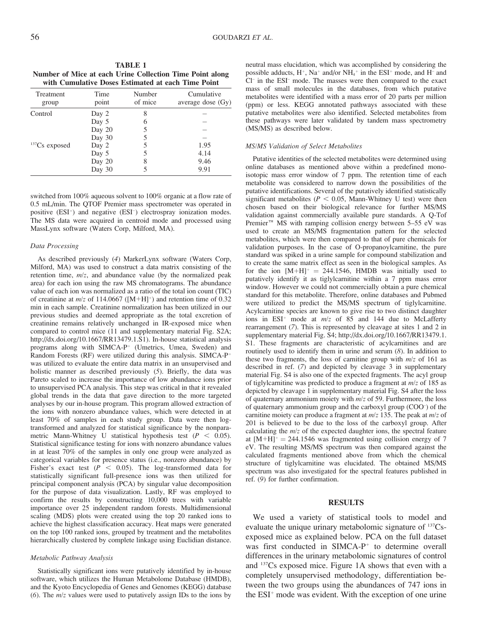TABLE 1 Number of Mice at each Urine Collection Time Point along with Cumulative Doses Estimated at each Time Point

| Treatment<br>group | Time<br>point | Number<br>of mice | Cumulative<br>average dose (Gy) |
|--------------------|---------------|-------------------|---------------------------------|
| Control            | Day 2         | 8                 |                                 |
|                    | Day 5         | 6                 |                                 |
|                    | Day 20        |                   |                                 |
|                    | Day 30        |                   |                                 |
| $137Cs$ exposed    | Day 2         | 5                 | 1.95                            |
|                    | Day 5         |                   | 4.14                            |
|                    | Day 20        | 8                 | 9.46                            |
|                    | Day 30        |                   | 9.91                            |

switched from 100% aqueous solvent to 100% organic at a flow rate of 0.5 mL/min. The QTOF Premier mass spectrometer was operated in positive (ESI<sup>+</sup>) and negative (ESI<sup>-</sup>) electrospray ionization modes. The MS data were acquired in centroid mode and processed using MassLynx software (Waters Corp, Milford, MA).

#### Data Processing

As described previously (4) MarkerLynx software (Waters Corp, Milford, MA) was used to construct a data matrix consisting of the retention time, m/z, and abundance value (by the normalized peak area) for each ion using the raw MS chromatograms. The abundance value of each ion was normalized as a ratio of the total ion count (TIC) of creatinine at  $m/z$  of 114.0667 ([M+H]<sup>+</sup>) and retention time of 0.32 min in each sample. Creatinine normalization has been utilized in our previous studies and deemed appropriate as the total excretion of creatinine remains relatively unchanged in IR-exposed mice when compared to control mice (11 and supplementary material Fig. S2A; http://dx.doi.org/10.1667/RR13479.1.S1). In-house statistical analysis programs along with SIMCA-P<sup>+</sup> (Umetrics, Umea, Sweden) and Random Forests  $(RF)$  were utilized during this analysis. SIMCA-P<sup>+</sup> was utilized to evaluate the entire data matrix in an unsupervised and holistic manner as described previously (5). Briefly, the data was Pareto scaled to increase the importance of low abundance ions prior to unsupervised PCA analysis. This step was critical in that it revealed global trends in the data that gave direction to the more targeted analyses by our in-house program. This program allowed extraction of the ions with nonzero abundance values, which were detected in at least 70% of samples in each study group. Data were then logtransformed and analyzed for statistical significance by the nonparametric Mann-Whitney U statistical hypothesis test ( $P < 0.05$ ). Statistical significance testing for ions with nonzero abundance values in at least 70% of the samples in only one group were analyzed as categorical variables for presence status (i.e., nonzero abundance) by Fisher's exact test ( $P \le 0.05$ ). The log-transformed data for statistically significant full-presence ions was then utilized for principal component analysis (PCA) by singular value decomposition for the purpose of data visualization. Lastly, RF was employed to confirm the results by constructing 10,000 trees with variable importance over 25 independent random forests. Multidimensional scaling (MDS) plots were created using the top 20 ranked ions to achieve the highest classification accuracy. Heat maps were generated on the top 100 ranked ions, grouped by treatment and the metabolites hierarchically clustered by complete linkage using Euclidian distance.

#### Metabolic Pathway Analysis

Statistically significant ions were putatively identified by in-house software, which utilizes the Human Metabolome Database (HMDB), and the Kyoto Encyclopedia of Genes and Genomes (KEGG) database (6). The  $m/z$  values were used to putatively assign IDs to the ions by neutral mass elucidation, which was accomplished by considering the possible adducts,  $H^+$ , Na<sup>+</sup> and/or NH<sub>4</sub><sup>+</sup> in the ESI<sup>+</sup> mode, and H<sup>-</sup> and Cl– in the ESI– mode. The masses were then compared to the exact mass of small molecules in the databases, from which putative metabolites were identified with a mass error of 20 parts per million (ppm) or less. KEGG annotated pathways associated with these putative metabolites were also identified. Selected metabolites from these pathways were later validated by tandem mass spectrometry (MS/MS) as described below.

#### MS/MS Validation of Select Metabolites

Putative identities of the selected metabolites were determined using online databases as mentioned above within a predefined monoisotopic mass error window of 7 ppm. The retention time of each metabolite was considered to narrow down the possibilities of the putative identifications. Several of the putatively identified statistically significant metabolites ( $P < 0.05$ , Mann-Whitney U test) were then chosen based on their biological relevance for further MS/MS validation against commercially available pure standards. A Q-Tof Premier<sup>TM</sup> MS with ramping collision energy between 5–55 eV was used to create an MS/MS fragmentation pattern for the selected metabolites, which were then compared to that of pure chemicals for validation purposes. In the case of O-propanoylcarnitine, the pure standard was spiked in a urine sample for compound stabilization and to create the same matrix effect as seen in the biological samples. As for the ion  $[M+H]^+= 244.1546$ , HMDB was initially used to putatively identify it as tiglylcarnitine within a 7 ppm mass error window. However we could not commercially obtain a pure chemical standard for this metabolite. Therefore, online databases and Pubmed were utilized to predict the MS/MS spectrum of tiglylcarnitine. Acylcarnitine species are known to give rise to two distinct daughter ions in  $ESI<sup>+</sup>$  mode at  $m/z$  of 85 and 144 due to McLafferty rearrangement (7). This is represented by cleavage at sites 1 and 2 in supplementary material Fig. S4; http://dx.doi.org/10.1667/RR13479.1. S1. These fragments are characteristic of acylcarnitines and are routinely used to identify them in urine and serum (8). In addition to these two fragments, the loss of carnitine group with  $m/z$  of 161 as described in ref. (7) and depicted by cleavage 3 in supplementary material Fig. S4 is also one of the expected fragments. The acyl group of tiglylcarnitine was predicted to produce a fragment at m/z of 185 as depicted by cleavage 1 in supplementary material Fig. S4 after the loss of quaternary ammonium moiety with  $m/z$  of 59. Furthermore, the loss of quaternary ammonium group and the carboxyl group (COO– ) of the carnitine moiety can produce a fragment at  $m/z$  135. The peak at  $m/z$  of 201 is believed to be due to the loss of the carboxyl group. After calculating the  $m/z$  of the expected daughter ions, the spectral feature at  $[M+H]^+= 244.1546$  was fragmented using collision energy of 7 eV. The resulting MS/MS spectrum was then compared against the calculated fragments mentioned above from which the chemical structure of tiglylcarnitine was elucidated. The obtained MS/MS spectrum was also investigated for the spectral features published in ref. (9) for further confirmation.

### RESULTS

We used a variety of statistical tools to model and evaluate the unique urinary metabolomic signature of  $^{137}Cs$ exposed mice as explained below. PCA on the full dataset was first conducted in SIMCA- $P^+$  to determine overall differences in the urinary metabolomic signatures of control and 137Cs exposed mice. Figure 1A shows that even with a completely unsupervised methodology, differentiation between the two groups using the abundances of 747 ions in the ESI<sup>+</sup> mode was evident. With the exception of one urine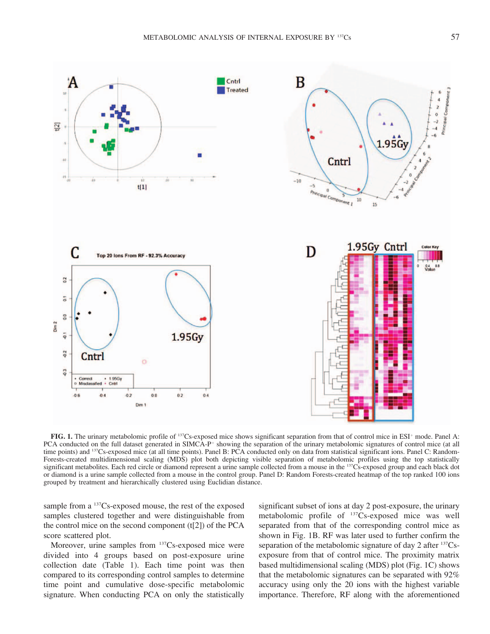

FIG. 1. The urinary metabolomic profile of <sup>137</sup>Cs-exposed mice shows significant separation from that of control mice in ESI<sup>+</sup> mode. Panel A: PCA conducted on the full dataset generated in SIMCA-P<sup> $+$ </sup> showing the separation of the urinary metabolomic signatures of control mice (at all time points) and <sup>137</sup>Cs-exposed mice (at all time points). Panel B: PCA conducted only on data from statistical significant ions. Panel C: Random-Forests-created multidimensional scaling (MDS) plot both depicting visible separation of metabolomic profiles using the top statistically significant metabolites. Each red circle or diamond represent a urine sample collected from a mouse in the <sup>137</sup>Cs-exposed group and each black dot or diamond is a urine sample collected from a mouse in the control group. Panel D: Random Forests-created heatmap of the top ranked 100 ions grouped by treatment and hierarchically clustered using Euclidian distance.

sample from a <sup>137</sup>Cs-exposed mouse, the rest of the exposed samples clustered together and were distinguishable from the control mice on the second component  $(t[2])$  of the PCA score scattered plot.

Moreover, urine samples from <sup>137</sup>Cs-exposed mice were divided into 4 groups based on post-exposure urine collection date (Table 1). Each time point was then compared to its corresponding control samples to determine time point and cumulative dose-specific metabolomic signature. When conducting PCA on only the statistically significant subset of ions at day 2 post-exposure, the urinary metabolomic profile of 137Cs-exposed mice was well separated from that of the corresponding control mice as shown in Fig. 1B. RF was later used to further confirm the separation of the metabolomic signature of day 2 after <sup>137</sup>Csexposure from that of control mice. The proximity matrix based multidimensional scaling (MDS) plot (Fig. 1C) shows that the metabolomic signatures can be separated with 92% accuracy using only the 20 ions with the highest variable importance. Therefore, RF along with the aforementioned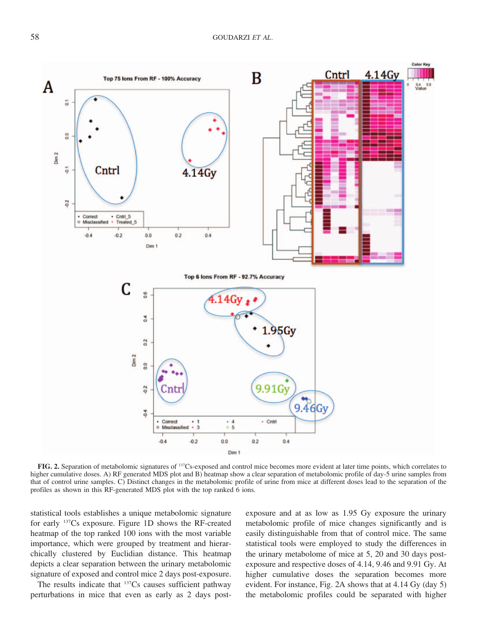

FIG. 2. Separation of metabolomic signatures of 137Cs-exposed and control mice becomes more evident at later time points, which correlates to higher cumulative doses. A) RF generated MDS plot and B) heatmap show a clear separation of metabolomic profile of day-5 urine samples from that of control urine samples. C) Distinct changes in the metabolomic profile of urine from mice at different doses lead to the separation of the profiles as shown in this RF-generated MDS plot with the top ranked 6 ions.

statistical tools establishes a unique metabolomic signature for early 137Cs exposure. Figure 1D shows the RF-created heatmap of the top ranked 100 ions with the most variable importance, which were grouped by treatment and hierarchically clustered by Euclidian distance. This heatmap depicts a clear separation between the urinary metabolomic signature of exposed and control mice 2 days post-exposure.

The results indicate that  $137Cs$  causes sufficient pathway perturbations in mice that even as early as 2 days postexposure and at as low as 1.95 Gy exposure the urinary metabolomic profile of mice changes significantly and is easily distinguishable from that of control mice. The same statistical tools were employed to study the differences in the urinary metabolome of mice at 5, 20 and 30 days postexposure and respective doses of 4.14, 9.46 and 9.91 Gy. At higher cumulative doses the separation becomes more evident. For instance, Fig. 2A shows that at 4.14 Gy (day 5) the metabolomic profiles could be separated with higher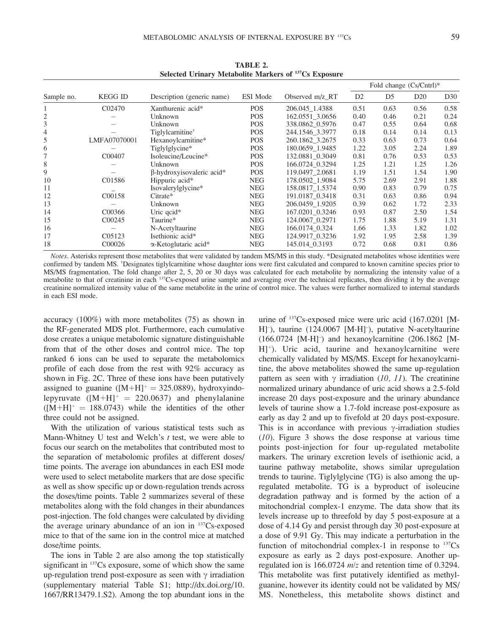| Sample no. | <b>KEGG ID</b>      | Description (generic name)       | ESI Mode   | Observed m/z RT | Fold change $(Cs/cntrl)^*$ |      |                 |                 |
|------------|---------------------|----------------------------------|------------|-----------------|----------------------------|------|-----------------|-----------------|
|            |                     |                                  |            |                 | D <sub>2</sub>             | D5   | D <sub>20</sub> | D <sub>30</sub> |
|            | C <sub>02470</sub>  | Xanthurenic acid*                | <b>POS</b> | 206.045 1.4388  | 0.51                       | 0.63 | 0.56            | 0.58            |
|            |                     | Unknown                          | <b>POS</b> | 162.0551 3.0656 | 0.40                       | 0.46 | 0.21            | 0.24            |
|            |                     | Unknown                          | <b>POS</b> | 338.0862 0.5976 | 0.47                       | 0.55 | 0.64            | 0.68            |
|            |                     | Tiglylcarnitine <sup>†</sup>     | <b>POS</b> | 244.1546_3.3977 | 0.18                       | 0.14 | 0.14            | 0.13            |
|            | LMFA07070001        | Hexanoylcarnitine*               | <b>POS</b> | 260.1862 3.2675 | 0.33                       | 0.63 | 0.73            | 0.64            |
| 6          |                     | Tiglylglycine*                   | <b>POS</b> | 180.0659_1.9485 | 1.22                       | 3.05 | 2.24            | 1.89            |
|            | C00407              | Isoleucine/Leucine*              | <b>POS</b> | 132.0881 0.3049 | 0.81                       | 0.76 | 0.53            | 0.53            |
| 8          |                     | Unknown                          | <b>POS</b> | 166.0724_0.3294 | 1.25                       | 1.21 | 1.25            | 1.26            |
| 9          |                     | $\beta$ -hydroxyisovaleric acid* | <b>POS</b> | 119.0497 2.0681 | 1.19                       | 1.51 | 1.54            | 1.90            |
| 10         | C01586              | Hippuric acid*                   | <b>NEG</b> | 178.0502 1.9084 | 5.75                       | 2.69 | 2.91            | 1.88            |
| 11         |                     | Isovalerylglycine*               | <b>NEG</b> | 158.0817_1.5374 | 0.90                       | 0.83 | 0.79            | 0.75            |
| 12         | C00158              | Citrate*                         | <b>NEG</b> | 191.0187_0.3418 | 0.31                       | 0.63 | 0.86            | 0.94            |
| 13         |                     | Unknown                          | <b>NEG</b> | 206.0459_1.9205 | 0.39                       | 0.62 | 1.72            | 2.33            |
| 14         | C00366              | Uric qcid*                       | <b>NEG</b> | 167.0201 0.3246 | 0.93                       | 0.87 | 2.50            | 1.54            |
| 15         | C00245              | Taurine*                         | <b>NEG</b> | 124.0067 0.2971 | 1.75                       | 1.88 | 5.19            | 1.31            |
| 16         |                     | N-Acetyltaurine                  | <b>NEG</b> | 166.0174 0.324  | 1.66                       | 1.33 | 1.82            | 1.02            |
| 17         | C <sub>05</sub> 123 | Isethionic acid*                 | <b>NEG</b> | 124.9917 0.3236 | 1.92                       | 1.95 | 2.58            | 1.39            |
| 18         | C00026              | $\alpha$ -Ketoglutaric acid*     | <b>NEG</b> | 145.014 0.3193  | 0.72                       | 0.68 | 0.81            | 0.86            |

TABLE 2. Selected Urinary Metabolite Markers of <sup>137</sup>Cs Exposure

Notes. Asterisks represent those metabolites that were validated by tandem MS/MS in this study. \*Designated metabolites whose identities were confirmed by tandem MS. <sup>+</sup>Designates tiglylcarnitine whose daughter ions were first calculated and compared to known carnitine species prior to MS/MS fragmentation. The fold change after 2, 5, 20 or 30 days was calculated for each metabolite by normalizing the intensity value of a metabolite to that of creatinine in each 137Cs-exposed urine sample and averaging over the technical replicates, then dividing it by the average creatinine normalized intensity value of the same metabolite in the urine of control mice. The values were further normalized to internal standards in each ESI mode.

accuracy (100%) with more metabolites (75) as shown in the RF-generated MDS plot. Furthermore, each cumulative dose creates a unique metabolomic signature distinguishable from that of the other doses and control mice. The top ranked 6 ions can be used to separate the metabolomics profile of each dose from the rest with 92% accuracy as shown in Fig. 2C. Three of these ions have been putatively assigned to guanine  $([M+H]^+ = 325.0889)$ , hydroxyindolepyruvate  $([M+H]^+ = 220.0637)$  and phenylalanine  $([M+H]^+] = 188.0743$ ) while the identities of the other three could not be assigned.

With the utilization of various statistical tests such as Mann-Whitney U test and Welch's t test, we were able to focus our search on the metabolites that contributed most to the separation of metabolomic profiles at different doses/ time points. The average ion abundances in each ESI mode were used to select metabolite markers that are dose specific as well as show specific up or down-regulation trends across the doses/time points. Table 2 summarizes several of these metabolites along with the fold changes in their abundances post-injection. The fold changes were calculated by dividing the average urinary abundance of an ion in  $137Cs$ -exposed mice to that of the same ion in the control mice at matched dose/time points.

The ions in Table 2 are also among the top statistically significant in <sup>137</sup>Cs exposure, some of which show the same up-regulation trend post-exposure as seen with  $\gamma$  irradiation (supplementary material Table S1; http://dx.doi.org/10. 1667/RR13479.1.S2). Among the top abundant ions in the urine of 137Cs-exposed mice were uric acid (167.0201 [M-H]<sup>-</sup>), taurine (124.0067 [M-H]<sup>-</sup>), putative N-acetyltaurine (166.0724 [M-H]– ) and hexanoylcarnitine (206.1862 [M- $H$ <sup>+</sup>). Uric acid, taurine and hexanoylcarnitine were chemically validated by MS/MS. Except for hexanoylcarnitine, the above metabolites showed the same up-regulation pattern as seen with  $\gamma$  irradiation (10, 11). The creatinine normalized urinary abundance of uric acid shows a 2.5-fold increase 20 days post-exposure and the urinary abundance levels of taurine show a 1.7-fold increase post-exposure as early as day 2 and up to fivefold at 20 days post-exposure. This is in accordance with previous  $\gamma$ -irradiation studies (10). Figure 3 shows the dose response at various time points post-injection for four up-regulated metabolite markers. The urinary excretion levels of isethionic acid, a taurine pathway metabolite, shows similar upregulation trends to taurine. Tiglylglycine (TG) is also among the upregulated metabolite. TG is a byproduct of isoleucine degradation pathway and is formed by the action of a mitochondrial complex-1 enzyme. The data show that its levels increase up to threefold by day 5 post-exposure at a dose of 4.14 Gy and persist through day 30 post-exposure at a dose of 9.91 Gy. This may indicate a perturbation in the function of mitochondrial complex-1 in response to  $137Cs$ exposure as early as 2 days post-exposure. Another upregulated ion is 166.0724 m/z and retention time of 0.3294. This metabolite was first putatively identified as methylguanine, however its identity could not be validated by MS/ MS. Nonetheless, this metabolite shows distinct and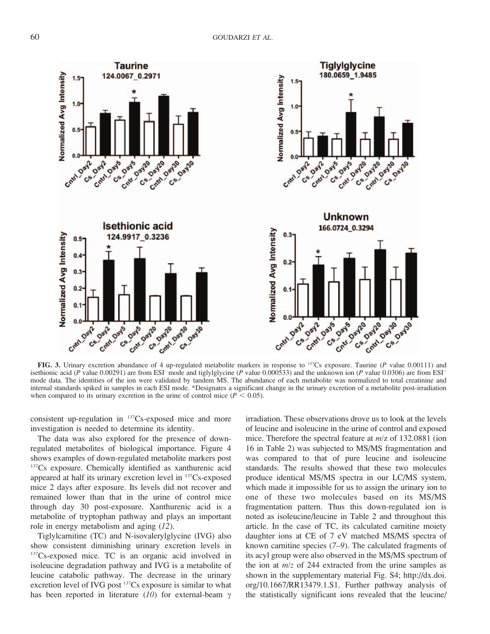

FIG. 3. Urinary excretion abundance of 4 up-regulated metabolite markers in response to  $137$ Cs exposure. Taurine (P value 0.00111) and isethionic acid (P value 0.00291) are from ESI<sup>-</sup> mode and tiglylglycine (P value 0.000533) and the unknown ion (P value 0.0306) are from ESI<sup>+</sup> mode data. The identities of the ion were validated by tandem MS. The abundance of each metabolite was normalized to total creatinine and internal standards spiked in samples in each ESI mode. \*Designates a significant change in the urinary excretion of a metabolite post-irradiation when compared to its urinary excretion in the urine of control mice ( $P < 0.05$ ).

consistent up-regulation in 137Cs-exposed mice and more investigation is needed to determine its identity.

The data was also explored for the presence of downregulated metabolites of biological importance. Figure 4 shows examples of down-regulated metabolite markers post 137Cs exposure. Chemically identified as xanthurenic acid appeared at half its urinary excretion level in 137Cs-exposed mice 2 days after exposure. Its levels did not recover and remained lower than that in the urine of control mice through day 30 post-exposure. Xanthurenic acid is a metabolite of tryptophan pathway and plays an important role in energy metabolism and aging (12).

Tiglylcarnitine (TC) and N-isovalerylglycine (IVG) also show consistent diminishing urinary excretion levels in <sup>137</sup>Cs-exposed mice. TC is an organic acid involved in isoleucine degradation pathway and IVG is a metabolite of leucine catabolic pathway. The decrease in the urinary excretion level of IVG post <sup>137</sup>Cs exposure is similar to what has been reported in literature (10) for external-beam  $\gamma$  irradiation. These observations drove us to look at the levels of leucine and isoleucine in the urine of control and exposed mice. Therefore the spectral feature at m/z of 132.0881 (ion 16 in Table 2) was subjected to MS/MS fragmentation and was compared to that of pure leucine and isoleucine standards. The results showed that these two molecules produce identical MS/MS spectra in our LC/MS system, which made it impossible for us to assign the urinary ion to one of these two molecules based on its MS/MS fragmentation pattern. Thus this down-regulated ion is noted as isoleucine/leucine in Table 2 and throughout this article. In the case of TC, its calculated carnitine moiety daughter ions at CE of 7 eV matched MS/MS spectra of known carnitine species (7–9). The calculated fragments of its acyl group were also observed in the MS/MS spectrum of the ion at  $m/z$  of 244 extracted from the urine samples as shown in the supplementary material Fig. S4; http://dx.doi. org/10.1667/RR13479.1.S1. Further pathway analysis of the statistically significant ions revealed that the leucine/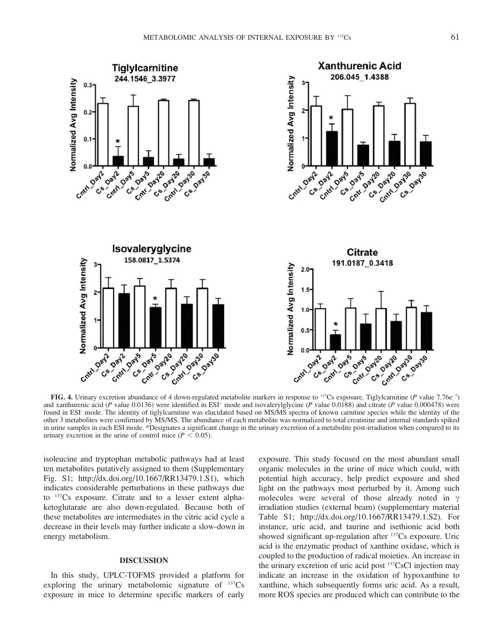

FIG. 4. Urinary excretion abundance of 4 down-regulated metabolite markers in response to <sup>137</sup>Cs exposure. Tiglylcarnitine (P value 7.76e<sup>-7</sup>) and xanthurenic acid (P value 0.0136) were identified in ESI<sup>+</sup> mode and isovalerylglycine (P value 0.0188) and citrate (P value 0.000478) were found in ESI– mode. The identity of tiglylcarnitine was elucidated based on MS/MS spectra of known carnitine species while the identity of the other 3 metabolites were confirmed by MS/MS. The abundance of each metabolite was normalized to total creatinine and internal standards spiked in urine samples in each ESI mode. \*Designates a significant change in the urinary excretion of a metabolite post-irradiation when compared to its urinary excretion in the urine of control mice ( $P < 0.05$ ).

isoleucine and tryptophan metabolic pathways had at least ten metabolites putatively assigned to them (Supplementary Fig. S1; http://dx.doi.org/10.1667/RR13479.1.S1), which indicates considerable perturbations in these pathways due to 137Cs exposure. Citrate and to a lesser extent alphaketoglutarate are also down-regulated. Because both of these metabolites are intermediates in the citric acid cycle a decrease in their levels may further indicate a slow-down in energy metabolism.

# DISCUSSION

In this study, UPLC-TOFMS provided a platform for exploring the urinary metabolomic signature of  $^{137}Cs$ exposure in mice to determine specific markers of early

exposure. This study focused on the most abundant small organic molecules in the urine of mice which could, with potential high accuracy, help predict exposure and shed light on the pathways most perturbed by it. Among such molecules were several of those already noted in  $\gamma$ irradiation studies (external beam) (supplementary material Table S1; http://dx.doi.org/10.1667/RR13479.1.S2). For instance, uric acid, and taurine and isethionic acid both showed significant up-regulation after <sup>137</sup>Cs exposure. Uric acid is the enzymatic product of xanthine oxidase, which is coupled to the production of radical moieties. An increase in the urinary excretion of uric acid post <sup>137</sup>CsCl injection may indicate an increase in the oxidation of hypoxanthine to xanthine, which subsequently forms uric acid. As a result, more ROS species are produced which can contribute to the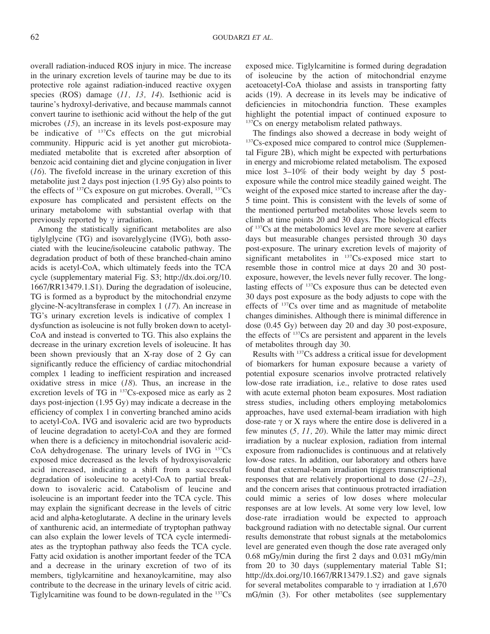overall radiation-induced ROS injury in mice. The increase in the urinary excretion levels of taurine may be due to its protective role against radiation-induced reactive oxygen species (ROS) damage (11, 13, 14). Isethionic acid is taurine's hydroxyl-derivative, and because mammals cannot convert taurine to isethionic acid without the help of the gut microbes  $(15)$ , an increase in its levels post-exposure may be indicative of <sup>137</sup>Cs effects on the gut microbial community. Hippuric acid is yet another gut microbiotamediated metabolite that is excreted after absorption of benzoic acid containing diet and glycine conjugation in liver  $(16)$ . The fivefold increase in the urinary excretion of this metabolite just 2 days post injection (1.95 Gy) also points to the effects of <sup>137</sup>Cs exposure on gut microbes. Overall, <sup>137</sup>Cs exposure has complicated and persistent effects on the urinary metabolome with substantial overlap with that previously reported by  $\gamma$  irradiation.

Among the statistically significant metabolites are also tiglylglycine (TG) and isovarelyglycine (IVG), both associated with the leucine/isoleucine catabolic pathway. The degradation product of both of these branched-chain amino acids is acetyl-CoA, which ultimately feeds into the TCA cycle (supplementary material Fig. S3; http://dx.doi.org/10. 1667/RR13479.1.S1). During the degradation of isoleucine, TG is formed as a byproduct by the mitochondrial enzyme glycine-N-acyltransferase in complex 1 (17). An increase in TG's urinary excretion levels is indicative of complex 1 dysfunction as isoleucine is not fully broken down to acetyl-CoA and instead is converted to TG. This also explains the decrease in the urinary excretion levels of isoleucine. It has been shown previously that an X-ray dose of 2 Gy can significantly reduce the efficiency of cardiac mitochondrial complex 1 leading to inefficient respiration and increased oxidative stress in mice  $(18)$ . Thus, an increase in the excretion levels of TG in 137Cs-exposed mice as early as 2 days post-injection (1.95 Gy) may indicate a decrease in the efficiency of complex 1 in converting branched amino acids to acetyl-CoA. IVG and isovaleric acid are two byproducts of leucine degradation to acetyl-CoA and they are formed when there is a deficiency in mitochondrial isovaleric acid-CoA dehydrogenase. The urinary levels of IVG in  $137Cs$ exposed mice decreased as the levels of hydroxyisovaleric acid increased, indicating a shift from a successful degradation of isoleucine to acetyl-CoA to partial breakdown to isovaleric acid. Catabolism of leucine and isoleucine is an important feeder into the TCA cycle. This may explain the significant decrease in the levels of citric acid and alpha-ketoglutarate. A decline in the urinary levels of xanthurenic acid, an intermediate of tryptophan pathway can also explain the lower levels of TCA cycle intermediates as the tryptophan pathway also feeds the TCA cycle. Fatty acid oxidation is another important feeder of the TCA and a decrease in the urinary excretion of two of its members, tiglylcarnitine and hexanoylcarnitine, may also contribute to the decrease in the urinary levels of citric acid. Tiglylcarnitine was found to be down-regulated in the 137Cs exposed mice. Tiglylcarnitine is formed during degradation of isoleucine by the action of mitochondrial enzyme acetoacetyl-CoA thiolase and assists in transporting fatty acids (19). A decrease in its levels may be indicative of deficiencies in mitochondria function. These examples highlight the potential impact of continued exposure to <sup>137</sup>Cs on energy metabolism related pathways.

The findings also showed a decrease in body weight of <sup>137</sup>Cs-exposed mice compared to control mice (Supplemental Figure 2B), which might be expected with perturbations in energy and microbiome related metabolism. The exposed mice lost 3–10% of their body weight by day 5 postexposure while the control mice steadily gained weight. The weight of the exposed mice started to increase after the day-5 time point. This is consistent with the levels of some of the mentioned perturbed metabolites whose levels seem to climb at time points 20 and 30 days. The biological effects of 137Cs at the metabolomics level are more severe at earlier days but measurable changes persisted through 30 days post-exposure. The urinary excretion levels of majority of significant metabolites in <sup>137</sup>Cs-exposed mice start to resemble those in control mice at days 20 and 30 postexposure, however, the levels never fully recover. The longlasting effects of 137Cs exposure thus can be detected even 30 days post exposure as the body adjusts to cope with the effects of 137Cs over time and as magnitude of metabolite changes diminishes. Although there is minimal difference in dose (0.45 Gy) between day 20 and day 30 post-exposure, the effects of 137Cs are persistent and apparent in the levels of metabolites through day 30.

Results with 137Cs address a critical issue for development of biomarkers for human exposure because a variety of potential exposure scenarios involve protracted relatively low-dose rate irradiation, i.e., relative to dose rates used with acute external photon beam exposures. Most radiation stress studies, including others employing metabolomics approaches, have used external-beam irradiation with high dose-rate  $\gamma$  or X rays where the entire dose is delivered in a few minutes (5, 11, 20). While the latter may mimic direct irradiation by a nuclear explosion, radiation from internal exposure from radionuclides is continuous and at relatively low-dose rates. In addition, our laboratory and others have found that external-beam irradiation triggers transcriptional responses that are relatively proportional to dose (21–23), and the concern arises that continuous protracted irradiation could mimic a series of low doses where molecular responses are at low levels. At some very low level, low dose-rate irradiation would be expected to approach background radiation with no detectable signal. Our current results demonstrate that robust signals at the metabolomics level are generated even though the dose rate averaged only 0.68 mGy/min during the first 2 days and 0.031 mGy/min from 20 to 30 days (supplementary material Table S1; http://dx.doi.org/10.1667/RR13479.1.S2) and gave signals for several metabolites comparable to  $\gamma$  irradiation at 1,670 mG/min (3). For other metabolites (see supplementary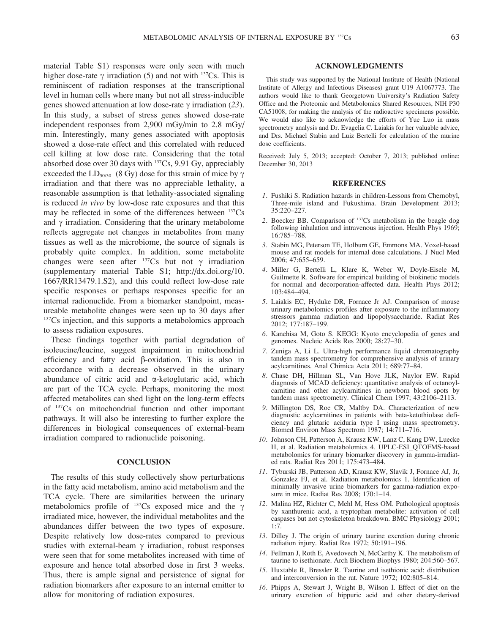material Table S1) responses were only seen with much higher dose-rate  $\gamma$  irradiation (5) and not with <sup>137</sup>Cs. This is reminiscent of radiation responses at the transcriptional level in human cells where many but not all stress-inducible genes showed attenuation at low dose-rate  $\gamma$  irradiation (23). In this study, a subset of stress genes showed dose-rate independent responses from 2,900 mGy/min to 2.8 mGy/ min. Interestingly, many genes associated with apoptosis showed a dose-rate effect and this correlated with reduced cell killing at low dose rate. Considering that the total absorbed dose over 30 days with 137Cs, 9.91 Gy, appreciably exceeded the  $LD_{50/30-}$  (8 Gy) dose for this strain of mice by  $\gamma$ irradiation and that there was no appreciable lethality, a reasonable assumption is that lethality-associated signaling is reduced in vivo by low-dose rate exposures and that this may be reflected in some of the differences between  $137Cs$ and  $\gamma$  irradiation. Considering that the urinary metabolome reflects aggregate net changes in metabolites from many tissues as well as the microbiome, the source of signals is probably quite complex. In addition, some metabolite changes were seen after  $137Cs$  but not  $\gamma$  irradiation (supplementary material Table S1; http://dx.doi.org/10. 1667/RR13479.1.S2), and this could reflect low-dose rate specific responses or perhaps responses specific for an internal radionuclide. From a biomarker standpoint, measureable metabolite changes were seen up to 30 days after <sup>137</sup>Cs injection, and this supports a metabolomics approach to assess radiation exposures.

These findings together with partial degradation of isoleucine/leucine, suggest impairment in mitochondrial efficiency and fatty acid  $\beta$ -oxidation. This is also in accordance with a decrease observed in the urinary abundance of citric acid and a-ketoglutaric acid, which are part of the TCA cycle. Perhaps, monitoring the most affected metabolites can shed light on the long-term effects of 137Cs on mitochondrial function and other important pathways. It will also be interesting to further explore the differences in biological consequences of external-beam irradiation compared to radionuclide poisoning.

### **CONCLUSION**

The results of this study collectively show perturbations in the fatty acid metabolism, amino acid metabolism and the TCA cycle. There are similarities between the urinary metabolomics profile of  $137Cs$  exposed mice and the  $\gamma$ irradiated mice, however, the individual metabolites and the abundances differ between the two types of exposure. Despite relatively low dose-rates compared to previous studies with external-beam  $\gamma$  irradiation, robust responses were seen that for some metabolites increased with time of exposure and hence total absorbed dose in first 3 weeks. Thus, there is ample signal and persistence of signal for radiation biomarkers after exposure to an internal emitter to allow for monitoring of radiation exposures.

# ACKNOWLEDGMENTS

This study was supported by the National Institute of Health (National Institute of Allergy and Infectious Diseases) grant U19 A1067773. The authors would like to thank Georgetown University's Radiation Safety Office and the Proteomic and Metabolomics Shared Resources, NIH P30 CA51008, for making the analysis of the radioactive specimens possible. We would also like to acknowledge the efforts of Yue Luo in mass spectrometry analysis and Dr. Evagelia C. Laiakis for her valuable advice, and Drs. Michael Stabin and Luiz Bertelli for calculation of the murine dose coefficients.

Received: July 5, 2013; accepted: October 7, 2013; published online: December 30, 2013

## **REFERENCES**

- 1. Fushiki S. Radiation hazards in children-Lessons from Chernobyl, Three-mile island and Fukushima. Brain Development 2013; 35:220–227.
- 2. Boecker BB. Comparison of 137Cs metabolism in the beagle dog following inhalation and intravenous injection. Health Phys 1969; 16:785–788.
- 3. Stabin MG, Peterson TE, Holburn GE, Emmons MA. Voxel-based mouse and rat models for internal dose calculations. J Nucl Med 2006; 47:655–659.
- 4. Miller G, Bertelli L, Klare K, Weber W, Doyle-Eisele M, Guilmette R. Software for empirical building of biokinetic models for normal and decorporation-affected data. Health Phys 2012; 103:484–494.
- 5. Laiakis EC, Hyduke DR, Fornace Jr AJ. Comparison of mouse urinary metabolomics profiles after exposure to the inflammatory stressors gamma radiation and lipopolysaccharide. Radiat Res 2012; 177:187–199.
- 6. Kanehisa M, Goto S. KEGG: Kyoto encyclopedia of genes and genomes. Nucleic Acids Res 2000; 28:27–30.
- 7. Zuniga A, Li L. Ultra-high performance liquid chromatography tandem mass spectrometry for comprehensive analysis of urinary acylcarnitines. Anal Chimica Acta 2011; 689:77–84.
- 8. Chase DH, Hillman SL, Van Hove JLK, Naylor EW. Rapid diagnosis of MCAD deficiency: quantitative analysis of octanoylcarnitine and other acylcarnitines in newborn blood spots by tandem mass spectrometry. Clinical Chem 1997; 43:2106–2113.
- 9. Millington DS, Roe CR, Maltby DA. Characterization of new diagnostic acylcarnitines in patients with beta-ketothiolase deficiency and glutaric aciduria type I using mass spectrometry. Biomed Environ Mass Spectrom 1987; 14:711–716.
- 10. Johnson CH, Patterson A, Krausz KW, Lanz C, Kang DW, Luecke H, et al. Radiation metabolomics 4. UPLC-ESI\_QTOFMS-based metabolomics for urinary biomarker discovery in gamma-irradiated rats. Radiat Res 2011; 175:473–484.
- 11. Tyburski JB, Patterson AD, Krausz KW, Slavik J, Fornace AJ, Jr, Gonzalez FJ, et al. Radiation metabolomics 1. Identification of minimally invasive urine biomarkers for gamma-radiation exposure in mice. Radiat Res 2008; 170:1–14.
- 12. Malina HZ, Richter C, Mehl M, Hess OM. Pathological apoptosis by xanthurenic acid, a tryptophan metabolite: activation of cell caspases but not cytoskeleton breakdown. BMC Physiology 2001; 1:7.
- 13. Dilley J. The origin of urinary taurine excretion during chronic radiation injury. Radiat Res 1972; 50:191–196.
- 14. Fellman J, Roth E, Avedovech N, McCarthy K. The metabolism of taurine to isethionate. Arch Biochem Biophys 1980; 204:560–567.
- 15. Huxtable R, Bressler R. Taurine and isethionic acid: distribution and interconversion in the rat. Nature 1972; 102:805–814.
- 16. Phipps A, Stewart J, Wright B, Wilson I. Effect of diet on the urinary excretion of hippuric acid and other dietary-derived